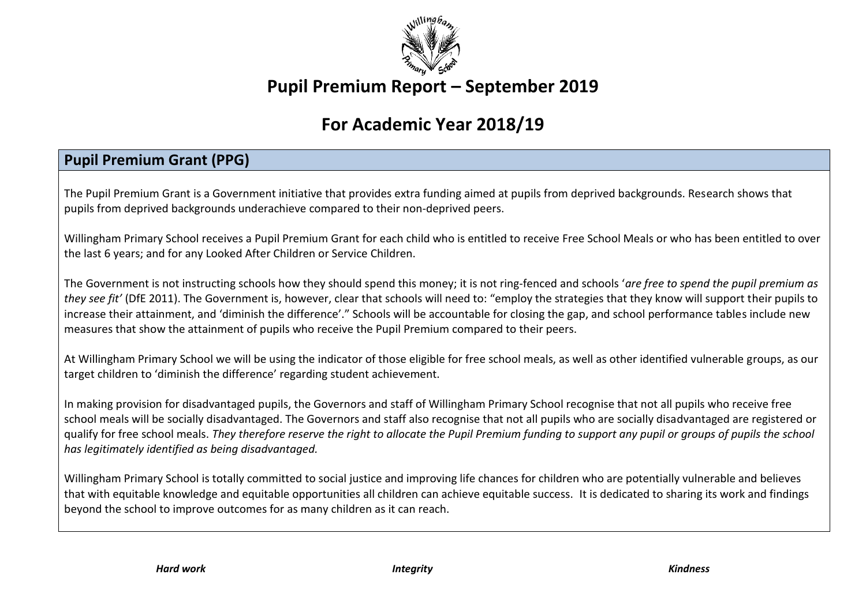

# **Pupil Premium Report – September 2019**

# **For Academic Year 2018/19**

## **Pupil Premium Grant (PPG)**

The Pupil Premium Grant is a Government initiative that provides extra funding aimed at pupils from deprived backgrounds. Research shows that pupils from deprived backgrounds underachieve compared to their non‐deprived peers.

Willingham Primary School receives a Pupil Premium Grant for each child who is entitled to receive Free School Meals or who has been entitled to over the last 6 years; and for any Looked After Children or Service Children.

The Government is not instructing schools how they should spend this money; it is not ring‐fenced and schools '*are free to spend the pupil premium as they see fit'* (DfE 2011). The Government is, however, clear that schools will need to: "employ the strategies that they know will support their pupils to increase their attainment, and 'diminish the difference'." Schools will be accountable for closing the gap, and school performance tables include new measures that show the attainment of pupils who receive the Pupil Premium compared to their peers.

At Willingham Primary School we will be using the indicator of those eligible for free school meals, as well as other identified vulnerable groups, as our target children to 'diminish the difference' regarding student achievement.

In making provision for disadvantaged pupils, the Governors and staff of Willingham Primary School recognise that not all pupils who receive free school meals will be socially disadvantaged. The Governors and staff also recognise that not all pupils who are socially disadvantaged are registered or qualify for free school meals. *They therefore reserve the right to allocate the Pupil Premium funding to support any pupil or groups of pupils the school has legitimately identified as being disadvantaged.*

Willingham Primary School is totally committed to social justice and improving life chances for children who are potentially vulnerable and believes that with equitable knowledge and equitable opportunities all children can achieve equitable success. It is dedicated to sharing its work and findings beyond the school to improve outcomes for as many children as it can reach.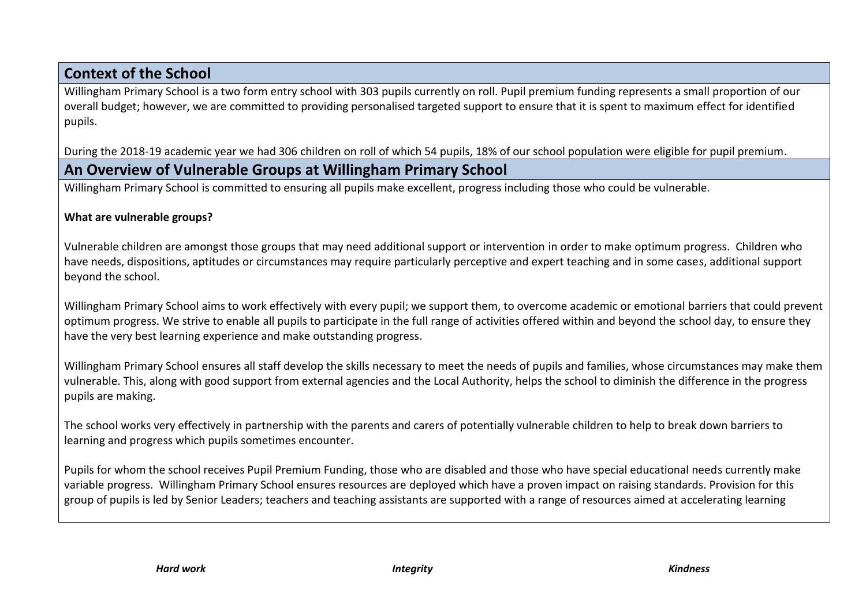### **Context of the School**

Willingham Primary School is a two form entry school with 303 pupils currently on roll. Pupil premium funding represents a small proportion of our overall budget; however, we are committed to providing personalised targeted support to ensure that it is spent to maximum effect for identified pupils.

During the 2018-19 academic year we had 306 children on roll of which 54 pupils, 18% of our school population were eligible for pupil premium.

### **An Overview of Vulnerable Groups at Willingham Primary School**

Willingham Primary School is committed to ensuring all pupils make excellent, progress including those who could be vulnerable.

#### **What are vulnerable groups?**

Vulnerable children are amongst those groups that may need additional support or intervention in order to make optimum progress. Children who have needs, dispositions, aptitudes or circumstances may require particularly perceptive and expert teaching and in some cases, additional support beyond the school.

Willingham Primary School aims to work effectively with every pupil; we support them, to overcome academic or emotional barriers that could prevent optimum progress. We strive to enable all pupils to participate in the full range of activities offered within and beyond the school day, to ensure they have the very best learning experience and make outstanding progress.

Willingham Primary School ensures all staff develop the skills necessary to meet the needs of pupils and families, whose circumstances may make them vulnerable. This, along with good support from external agencies and the Local Authority, helps the school to diminish the difference in the progress pupils are making.

The school works very effectively in partnership with the parents and carers of potentially vulnerable children to help to break down barriers to learning and progress which pupils sometimes encounter.

Pupils for whom the school receives Pupil Premium Funding, those who are disabled and those who have special educational needs currently make variable progress. Willingham Primary School ensures resources are deployed which have a proven impact on raising standards. Provision for this group of pupils is led by Senior Leaders; teachers and teaching assistants are supported with a range of resources aimed at accelerating learning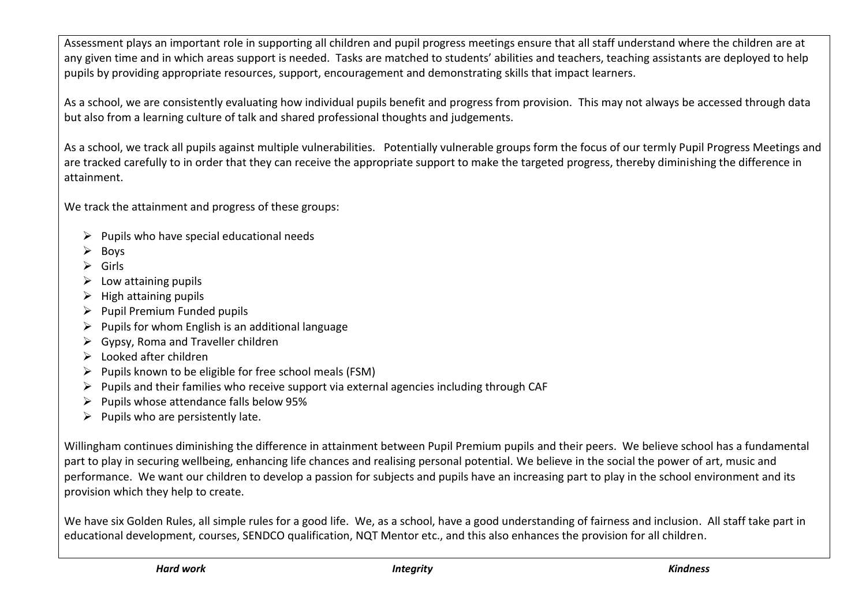Assessment plays an important role in supporting all children and pupil progress meetings ensure that all staff understand where the children are at any given time and in which areas support is needed. Tasks are matched to students' abilities and teachers, teaching assistants are deployed to help pupils by providing appropriate resources, support, encouragement and demonstrating skills that impact learners.

As a school, we are consistently evaluating how individual pupils benefit and progress from provision. This may not always be accessed through data but also from a learning culture of talk and shared professional thoughts and judgements.

As a school, we track all pupils against multiple vulnerabilities. Potentially vulnerable groups form the focus of our termly Pupil Progress Meetings and are tracked carefully to in order that they can receive the appropriate support to make the targeted progress, thereby diminishing the difference in attainment.

We track the attainment and progress of these groups:

- $\triangleright$  Pupils who have special educational needs
- Boys
- $\triangleright$  Girls
- $\triangleright$  Low attaining pupils
- $\triangleright$  High attaining pupils
- $\triangleright$  Pupil Premium Funded pupils
- $\triangleright$  Pupils for whom English is an additional language
- $\triangleright$  Gypsy, Roma and Traveller children
- $\triangleright$  Looked after children
- $\triangleright$  Pupils known to be eligible for free school meals (FSM)
- $\triangleright$  Pupils and their families who receive support via external agencies including through CAF
- $\triangleright$  Pupils whose attendance falls below 95%
- $\triangleright$  Pupils who are persistently late.

Willingham continues diminishing the difference in attainment between Pupil Premium pupils and their peers. We believe school has a fundamental part to play in securing wellbeing, enhancing life chances and realising personal potential. We believe in the social the power of art, music and performance. We want our children to develop a passion for subjects and pupils have an increasing part to play in the school environment and its provision which they help to create.

We have six Golden Rules, all simple rules for a good life. We, as a school, have a good understanding of fairness and inclusion. All staff take part in educational development, courses, SENDCO qualification, NQT Mentor etc., and this also enhances the provision for all children.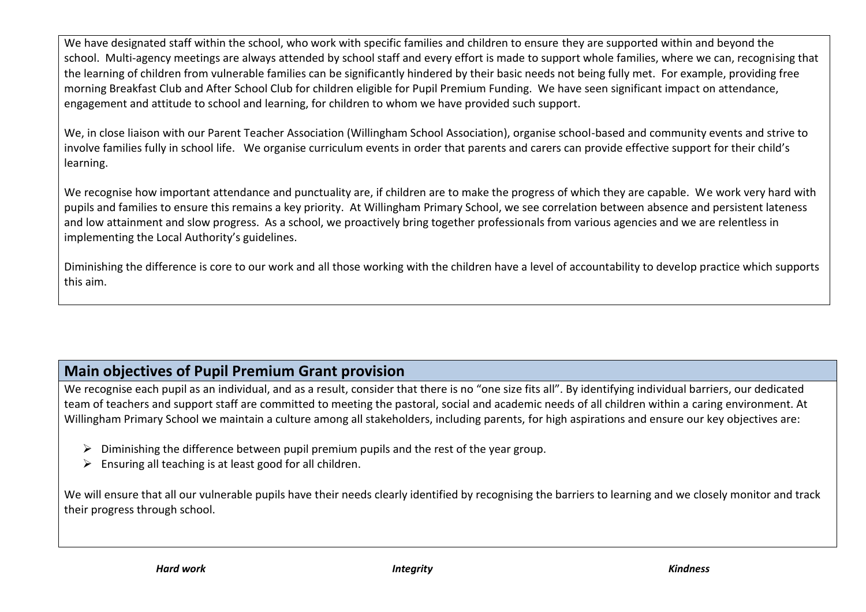We have designated staff within the school, who work with specific families and children to ensure they are supported within and beyond the school. Multi-agency meetings are always attended by school staff and every effort is made to support whole families, where we can, recognising that the learning of children from vulnerable families can be significantly hindered by their basic needs not being fully met. For example, providing free morning Breakfast Club and After School Club for children eligible for Pupil Premium Funding. We have seen significant impact on attendance, engagement and attitude to school and learning, for children to whom we have provided such support.

We, in close liaison with our Parent Teacher Association (Willingham School Association), organise school-based and community events and strive to involve families fully in school life. We organise curriculum events in order that parents and carers can provide effective support for their child's learning.

We recognise how important attendance and punctuality are, if children are to make the progress of which they are capable. We work very hard with pupils and families to ensure this remains a key priority. At Willingham Primary School, we see correlation between absence and persistent lateness and low attainment and slow progress. As a school, we proactively bring together professionals from various agencies and we are relentless in implementing the Local Authority's guidelines.

Diminishing the difference is core to our work and all those working with the children have a level of accountability to develop practice which supports this aim.

## **Main objectives of Pupil Premium Grant provision**

We recognise each pupil as an individual, and as a result, consider that there is no "one size fits all". By identifying individual barriers, our dedicated team of teachers and support staff are committed to meeting the pastoral, social and academic needs of all children within a caring environment. At Willingham Primary School we maintain a culture among all stakeholders, including parents, for high aspirations and ensure our key objectives are:

- $\triangleright$  Diminishing the difference between pupil premium pupils and the rest of the year group.
- $\triangleright$  Ensuring all teaching is at least good for all children.

We will ensure that all our vulnerable pupils have their needs clearly identified by recognising the barriers to learning and we closely monitor and track their progress through school.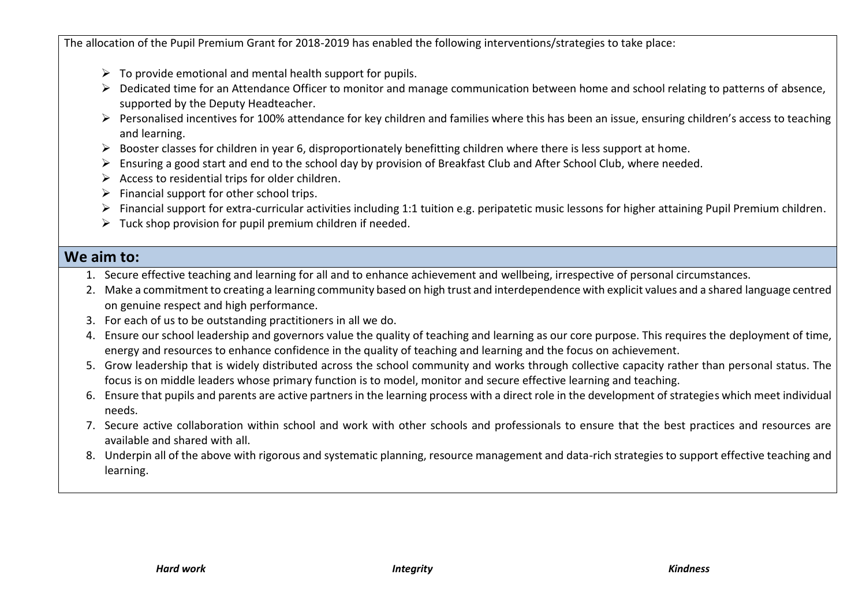The allocation of the Pupil Premium Grant for 2018-2019 has enabled the following interventions/strategies to take place:

- $\triangleright$  To provide emotional and mental health support for pupils.
- ▶ Dedicated time for an Attendance Officer to monitor and manage communication between home and school relating to patterns of absence, supported by the Deputy Headteacher.
- Personalised incentives for 100% attendance for key children and families where this has been an issue, ensuring children's access to teaching and learning.
- $\triangleright$  Booster classes for children in year 6, disproportionately benefitting children where there is less support at home.
- Ensuring a good start and end to the school day by provision of Breakfast Club and After School Club, where needed.
- $\triangleright$  Access to residential trips for older children.
- $\triangleright$  Financial support for other school trips.
- Financial support for extra-curricular activities including 1:1 tuition e.g. peripatetic music lessons for higher attaining Pupil Premium children.
- $\triangleright$  Tuck shop provision for pupil premium children if needed.

### **We aim to:**

- 1. Secure effective teaching and learning for all and to enhance achievement and wellbeing, irrespective of personal circumstances.
- 2. Make a commitment to creating a learning community based on high trust and interdependence with explicit values and a shared language centred on genuine respect and high performance.
- 3. For each of us to be outstanding practitioners in all we do.
- 4. Ensure our school leadership and governors value the quality of teaching and learning as our core purpose. This requires the deployment of time, energy and resources to enhance confidence in the quality of teaching and learning and the focus on achievement.
- 5. Grow leadership that is widely distributed across the school community and works through collective capacity rather than personal status. The focus is on middle leaders whose primary function is to model, monitor and secure effective learning and teaching.
- 6. Ensure that pupils and parents are active partners in the learning process with a direct role in the development of strategies which meet individual needs.
- 7. Secure active collaboration within school and work with other schools and professionals to ensure that the best practices and resources are available and shared with all.
- 8. Underpin all of the above with rigorous and systematic planning, resource management and data-rich strategies to support effective teaching and learning.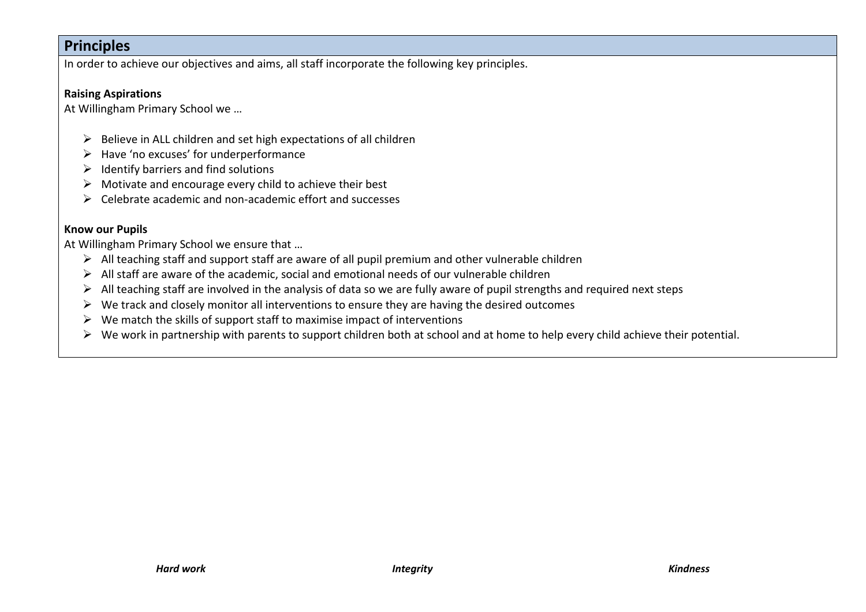### **Principles**

In order to achieve our objectives and aims, all staff incorporate the following key principles.

#### **Raising Aspirations**

At Willingham Primary School we …

- $\triangleright$  Believe in ALL children and set high expectations of all children
- $\triangleright$  Have 'no excuses' for underperformance
- $\triangleright$  Identify barriers and find solutions
- $\triangleright$  Motivate and encourage every child to achieve their best
- $\triangleright$  Celebrate academic and non-academic effort and successes

#### **Know our Pupils**

At Willingham Primary School we ensure that …

- $\triangleright$  All teaching staff and support staff are aware of all pupil premium and other vulnerable children
- $\triangleright$  All staff are aware of the academic, social and emotional needs of our vulnerable children
- $\triangleright$  All teaching staff are involved in the analysis of data so we are fully aware of pupil strengths and required next steps
- $\triangleright$  We track and closely monitor all interventions to ensure they are having the desired outcomes
- $\triangleright$  We match the skills of support staff to maximise impact of interventions
- $\triangleright$  We work in partnership with parents to support children both at school and at home to help every child achieve their potential.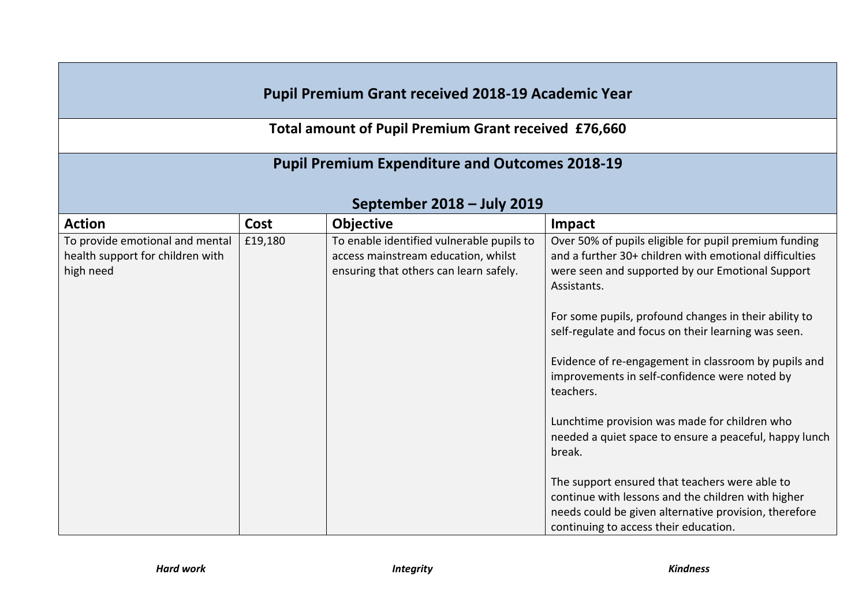## **Pupil Premium Grant received 2018-19 Academic Year**

**Total amount of Pupil Premium Grant received £76,660**

## **Pupil Premium Expenditure and Outcomes 2018-19**

# **September 2018 – July 2019**

| <b>Action</b>                    | Cost    | <b>Objective</b>                          | Impact                                                                                                             |
|----------------------------------|---------|-------------------------------------------|--------------------------------------------------------------------------------------------------------------------|
| To provide emotional and mental  | £19,180 | To enable identified vulnerable pupils to | Over 50% of pupils eligible for pupil premium funding                                                              |
| health support for children with |         | access mainstream education, whilst       | and a further 30+ children with emotional difficulties                                                             |
| high need                        |         | ensuring that others can learn safely.    | were seen and supported by our Emotional Support<br>Assistants.                                                    |
|                                  |         |                                           | For some pupils, profound changes in their ability to                                                              |
|                                  |         |                                           | self-regulate and focus on their learning was seen.                                                                |
|                                  |         |                                           | Evidence of re-engagement in classroom by pupils and<br>improvements in self-confidence were noted by<br>teachers. |
|                                  |         |                                           |                                                                                                                    |
|                                  |         |                                           | Lunchtime provision was made for children who                                                                      |
|                                  |         |                                           | needed a quiet space to ensure a peaceful, happy lunch                                                             |
|                                  |         |                                           | break.                                                                                                             |
|                                  |         |                                           | The support ensured that teachers were able to                                                                     |
|                                  |         |                                           | continue with lessons and the children with higher                                                                 |
|                                  |         |                                           | needs could be given alternative provision, therefore                                                              |
|                                  |         |                                           | continuing to access their education.                                                                              |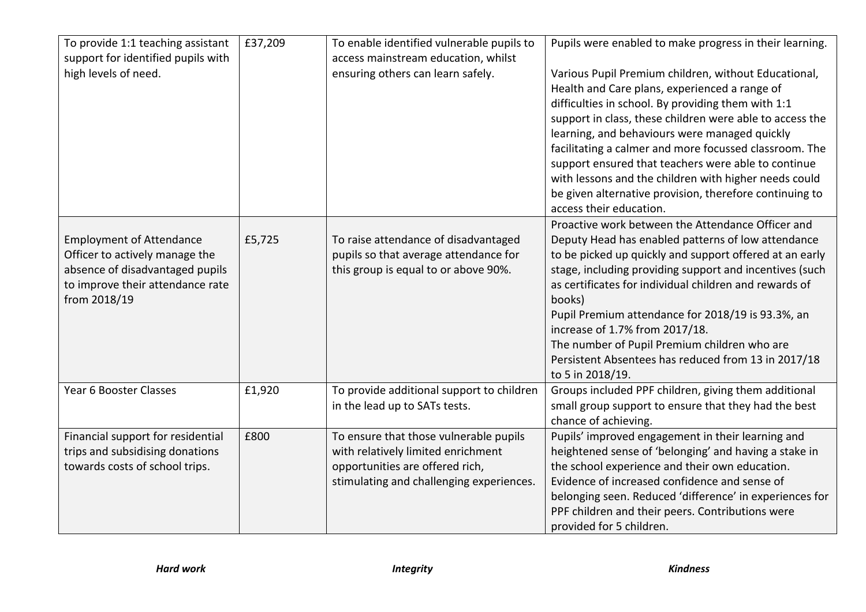| To provide 1:1 teaching assistant<br>support for identified pupils with<br>high levels of need.                                                          | £37,209 | To enable identified vulnerable pupils to<br>access mainstream education, whilst<br>ensuring others can learn safely.                                       | Pupils were enabled to make progress in their learning.<br>Various Pupil Premium children, without Educational,<br>Health and Care plans, experienced a range of<br>difficulties in school. By providing them with 1:1<br>support in class, these children were able to access the<br>learning, and behaviours were managed quickly<br>facilitating a calmer and more focussed classroom. The<br>support ensured that teachers were able to continue                                                                |
|----------------------------------------------------------------------------------------------------------------------------------------------------------|---------|-------------------------------------------------------------------------------------------------------------------------------------------------------------|---------------------------------------------------------------------------------------------------------------------------------------------------------------------------------------------------------------------------------------------------------------------------------------------------------------------------------------------------------------------------------------------------------------------------------------------------------------------------------------------------------------------|
|                                                                                                                                                          |         |                                                                                                                                                             | with lessons and the children with higher needs could<br>be given alternative provision, therefore continuing to<br>access their education.                                                                                                                                                                                                                                                                                                                                                                         |
| <b>Employment of Attendance</b><br>Officer to actively manage the<br>absence of disadvantaged pupils<br>to improve their attendance rate<br>from 2018/19 | £5,725  | To raise attendance of disadvantaged<br>pupils so that average attendance for<br>this group is equal to or above 90%.                                       | Proactive work between the Attendance Officer and<br>Deputy Head has enabled patterns of low attendance<br>to be picked up quickly and support offered at an early<br>stage, including providing support and incentives (such<br>as certificates for individual children and rewards of<br>books)<br>Pupil Premium attendance for 2018/19 is 93.3%, an<br>increase of 1.7% from 2017/18.<br>The number of Pupil Premium children who are<br>Persistent Absentees has reduced from 13 in 2017/18<br>to 5 in 2018/19. |
| Year 6 Booster Classes                                                                                                                                   | £1,920  | To provide additional support to children<br>in the lead up to SATs tests.                                                                                  | Groups included PPF children, giving them additional<br>small group support to ensure that they had the best<br>chance of achieving.                                                                                                                                                                                                                                                                                                                                                                                |
| Financial support for residential<br>trips and subsidising donations<br>towards costs of school trips.                                                   | £800    | To ensure that those vulnerable pupils<br>with relatively limited enrichment<br>opportunities are offered rich,<br>stimulating and challenging experiences. | Pupils' improved engagement in their learning and<br>heightened sense of 'belonging' and having a stake in<br>the school experience and their own education.<br>Evidence of increased confidence and sense of<br>belonging seen. Reduced 'difference' in experiences for<br>PPF children and their peers. Contributions were<br>provided for 5 children.                                                                                                                                                            |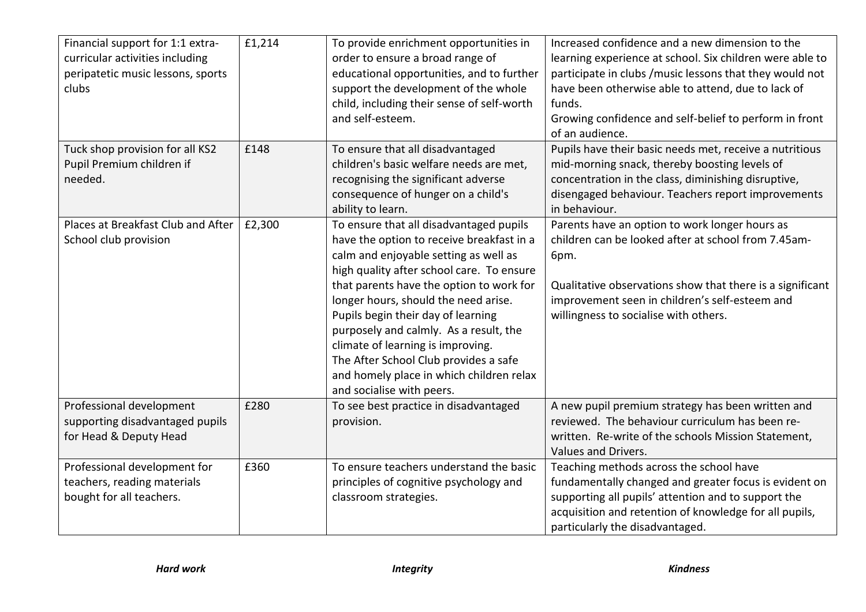| Financial support for 1:1 extra-<br>curricular activities including<br>peripatetic music lessons, sports<br>clubs | £1,214 | To provide enrichment opportunities in<br>order to ensure a broad range of<br>educational opportunities, and to further<br>support the development of the whole<br>child, including their sense of self-worth<br>and self-esteem.                                                                                                                                                                                                                                                                     | Increased confidence and a new dimension to the<br>learning experience at school. Six children were able to<br>participate in clubs /music lessons that they would not<br>have been otherwise able to attend, due to lack of<br>funds.<br>Growing confidence and self-belief to perform in front<br>of an audience. |
|-------------------------------------------------------------------------------------------------------------------|--------|-------------------------------------------------------------------------------------------------------------------------------------------------------------------------------------------------------------------------------------------------------------------------------------------------------------------------------------------------------------------------------------------------------------------------------------------------------------------------------------------------------|---------------------------------------------------------------------------------------------------------------------------------------------------------------------------------------------------------------------------------------------------------------------------------------------------------------------|
| Tuck shop provision for all KS2<br>Pupil Premium children if<br>needed.                                           | £148   | To ensure that all disadvantaged<br>children's basic welfare needs are met,<br>recognising the significant adverse<br>consequence of hunger on a child's<br>ability to learn.                                                                                                                                                                                                                                                                                                                         | Pupils have their basic needs met, receive a nutritious<br>mid-morning snack, thereby boosting levels of<br>concentration in the class, diminishing disruptive,<br>disengaged behaviour. Teachers report improvements<br>in behaviour.                                                                              |
| Places at Breakfast Club and After<br>School club provision                                                       | £2,300 | To ensure that all disadvantaged pupils<br>have the option to receive breakfast in a<br>calm and enjoyable setting as well as<br>high quality after school care. To ensure<br>that parents have the option to work for<br>longer hours, should the need arise.<br>Pupils begin their day of learning<br>purposely and calmly. As a result, the<br>climate of learning is improving.<br>The After School Club provides a safe<br>and homely place in which children relax<br>and socialise with peers. | Parents have an option to work longer hours as<br>children can be looked after at school from 7.45am-<br>6pm.<br>Qualitative observations show that there is a significant<br>improvement seen in children's self-esteem and<br>willingness to socialise with others.                                               |
| Professional development<br>supporting disadvantaged pupils<br>for Head & Deputy Head                             | £280   | To see best practice in disadvantaged<br>provision.                                                                                                                                                                                                                                                                                                                                                                                                                                                   | A new pupil premium strategy has been written and<br>reviewed. The behaviour curriculum has been re-<br>written. Re-write of the schools Mission Statement,<br>Values and Drivers.                                                                                                                                  |
| Professional development for<br>teachers, reading materials<br>bought for all teachers.                           | £360   | To ensure teachers understand the basic<br>principles of cognitive psychology and<br>classroom strategies.                                                                                                                                                                                                                                                                                                                                                                                            | Teaching methods across the school have<br>fundamentally changed and greater focus is evident on<br>supporting all pupils' attention and to support the<br>acquisition and retention of knowledge for all pupils,<br>particularly the disadvantaged.                                                                |